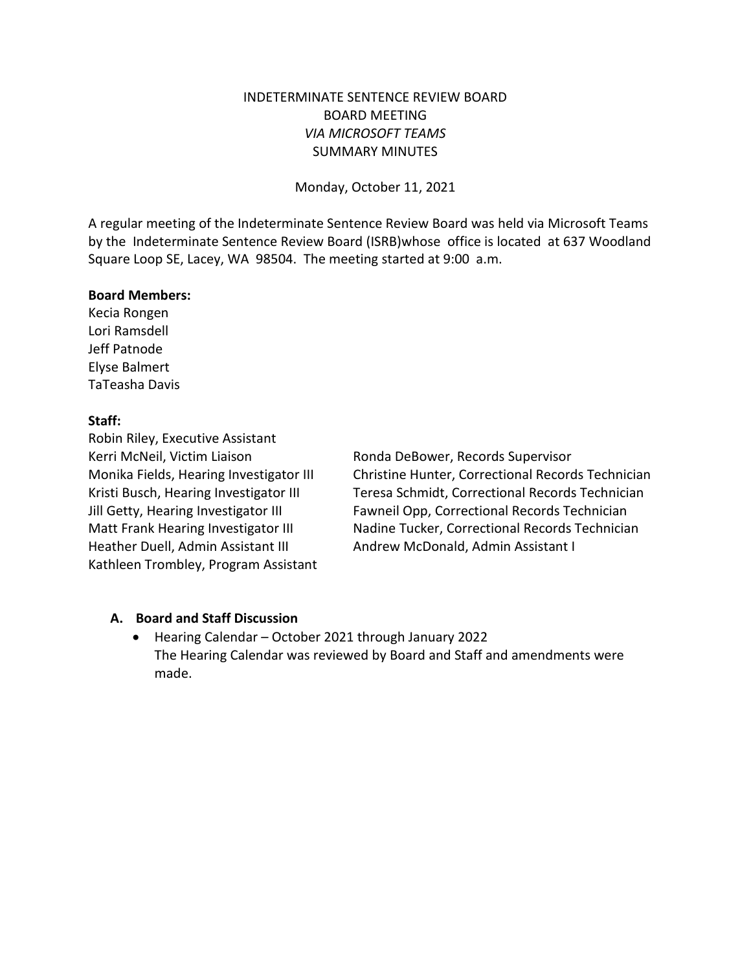## INDETERMINATE SENTENCE REVIEW BOARD BOARD MEETING *VIA MICROSOFT TEAMS* SUMMARY MINUTES

Monday, October 11, 2021

A regular meeting of the Indeterminate Sentence Review Board was held via Microsoft Teams by the Indeterminate Sentence Review Board (ISRB)whose office is located at 637 Woodland Square Loop SE, Lacey, WA 98504. The meeting started at 9:00 a.m.

#### **Board Members:**

Kecia Rongen Lori Ramsdell Jeff Patnode Elyse Balmert TaTeasha Davis

### **Staff:**

Robin Riley, Executive Assistant Kerri McNeil, Victim Liaison **Ronda DeBower, Records Supervisor** Heather Duell, Admin Assistant III Andrew McDonald, Admin Assistant I Kathleen Trombley, Program Assistant

Monika Fields, Hearing Investigator III Christine Hunter, Correctional Records Technician Kristi Busch, Hearing Investigator III Teresa Schmidt, Correctional Records Technician Jill Getty, Hearing Investigator III Fawneil Opp, Correctional Records Technician Matt Frank Hearing Investigator III Nadine Tucker, Correctional Records Technician

### **A. Board and Staff Discussion**

• Hearing Calendar – October 2021 through January 2022 The Hearing Calendar was reviewed by Board and Staff and amendments were made.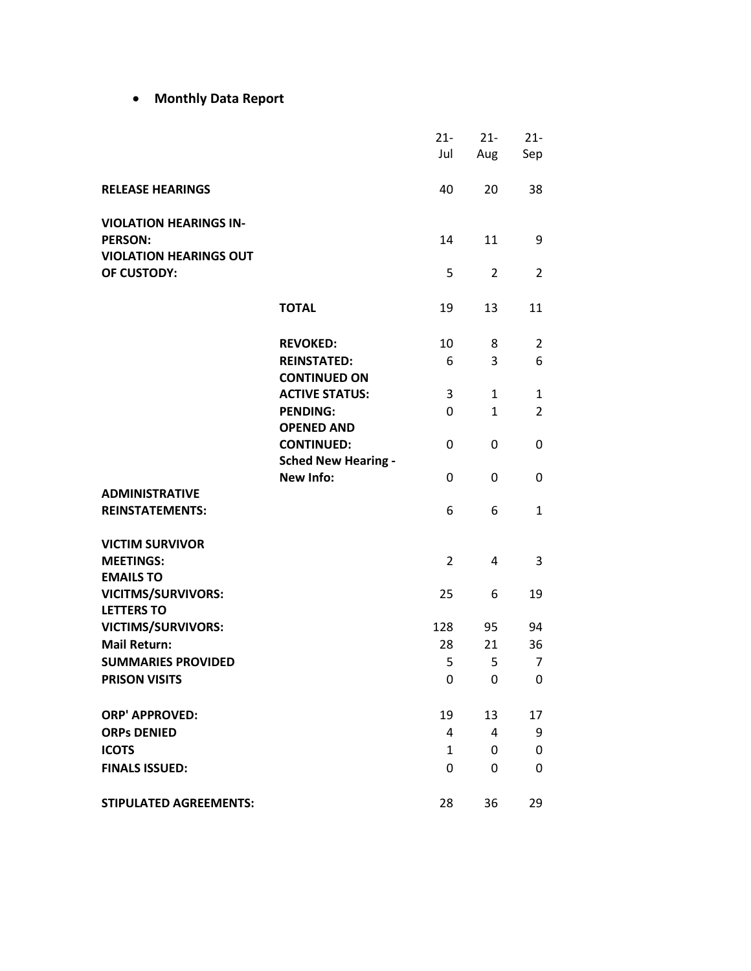• **Monthly Data Report**

|                                                 |                            | $21 -$         | $21 -$         | $21 -$         |
|-------------------------------------------------|----------------------------|----------------|----------------|----------------|
|                                                 |                            | Jul            | Aug            | Sep            |
|                                                 |                            |                |                |                |
| <b>RELEASE HEARINGS</b>                         |                            | 40             | 20             | 38             |
|                                                 |                            |                |                |                |
| <b>VIOLATION HEARINGS IN-</b><br><b>PERSON:</b> |                            | 14             | 11             | 9              |
| <b>VIOLATION HEARINGS OUT</b>                   |                            |                |                |                |
| OF CUSTODY:                                     |                            | 5              | $\overline{2}$ | $\overline{2}$ |
|                                                 |                            |                |                |                |
|                                                 | <b>TOTAL</b>               | 19             | 13             | 11             |
|                                                 |                            |                |                |                |
|                                                 | <b>REVOKED:</b>            | 10             | 8              | $\overline{2}$ |
|                                                 | <b>REINSTATED:</b>         | 6              | 3              | 6              |
|                                                 | <b>CONTINUED ON</b>        |                |                |                |
|                                                 | <b>ACTIVE STATUS:</b>      | 3              | $\mathbf{1}$   | $\mathbf{1}$   |
|                                                 | <b>PENDING:</b>            | 0              | $\mathbf{1}$   | $\overline{2}$ |
|                                                 | <b>OPENED AND</b>          |                |                |                |
|                                                 | <b>CONTINUED:</b>          | 0              | 0              | 0              |
|                                                 | <b>Sched New Hearing -</b> |                |                |                |
|                                                 | <b>New Info:</b>           | 0              | 0              | 0              |
| <b>ADMINISTRATIVE</b>                           |                            |                |                |                |
| <b>REINSTATEMENTS:</b>                          |                            | 6              | 6              | $\mathbf{1}$   |
| <b>VICTIM SURVIVOR</b>                          |                            |                |                |                |
| <b>MEETINGS:</b>                                |                            | $\overline{2}$ | 4              | 3              |
| <b>EMAILS TO</b>                                |                            |                |                |                |
| <b>VICITMS/SURVIVORS:</b>                       |                            | 25             | 6              | 19             |
| <b>LETTERS TO</b>                               |                            |                |                |                |
| <b>VICTIMS/SURVIVORS:</b>                       |                            | 128            | 95             | 94             |
| <b>Mail Return:</b>                             |                            | 28             | 21             | 36             |
| <b>SUMMARIES PROVIDED</b>                       |                            | 5              | 5              | 7              |
| <b>PRISON VISITS</b>                            |                            | $\mathbf{0}$   | $\mathbf{0}$   | 0              |
| <b>ORP' APPROVED:</b>                           |                            | 19             | 13             | 17             |
| <b>ORPs DENIED</b>                              |                            | 4              | 4              | 9              |
| <b>ICOTS</b>                                    |                            | $\mathbf{1}$   | 0              | 0              |
| <b>FINALS ISSUED:</b>                           |                            | 0              | 0              | 0              |
|                                                 |                            |                |                |                |
| <b>STIPULATED AGREEMENTS:</b>                   |                            | 28             | 36             | 29             |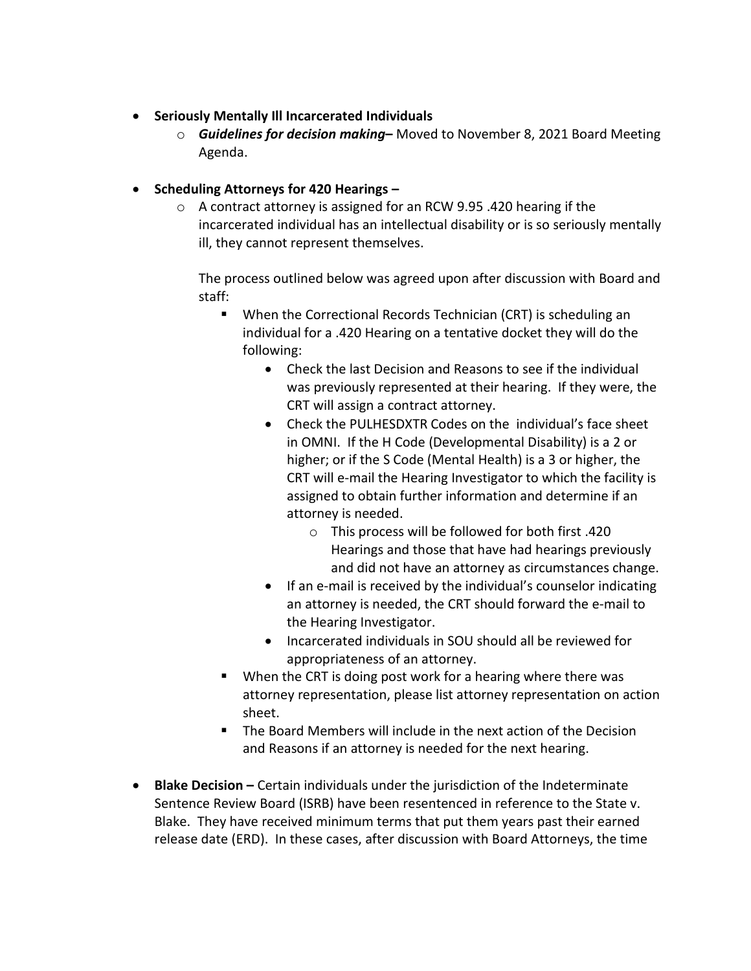- **Seriously Mentally Ill Incarcerated Individuals** 
	- o *Guidelines for decision making*Moved to November 8, 2021 Board Meeting Agenda.
- **Scheduling Attorneys for 420 Hearings** 
	- o A contract attorney is assigned for an RCW 9.95 .420 hearing if the incarcerated individual has an intellectual disability or is so seriously mentally ill, they cannot represent themselves.

The process outlined below was agreed upon after discussion with Board and staff:

- When the Correctional Records Technician (CRT) is scheduling an individual for a .420 Hearing on a tentative docket they will do the following:
	- Check the last Decision and Reasons to see if the individual was previously represented at their hearing. If they were, the CRT will assign a contract attorney.
	- Check the PULHESDXTR Codes on the individual's face sheet in OMNI. If the H Code (Developmental Disability) is a 2 or higher; or if the S Code (Mental Health) is a 3 or higher, the CRT will e-mail the Hearing Investigator to which the facility is assigned to obtain further information and determine if an attorney is needed.
		- o This process will be followed for both first .420 Hearings and those that have had hearings previously and did not have an attorney as circumstances change.
	- If an e-mail is received by the individual's counselor indicating an attorney is needed, the CRT should forward the e-mail to the Hearing Investigator.
	- Incarcerated individuals in SOU should all be reviewed for appropriateness of an attorney.
- When the CRT is doing post work for a hearing where there was attorney representation, please list attorney representation on action sheet.
- The Board Members will include in the next action of the Decision and Reasons if an attorney is needed for the next hearing.
- **Blake Decision** Certain individuals under the jurisdiction of the Indeterminate Sentence Review Board (ISRB) have been resentenced in reference to the State v. Blake. They have received minimum terms that put them years past their earned release date (ERD). In these cases, after discussion with Board Attorneys, the time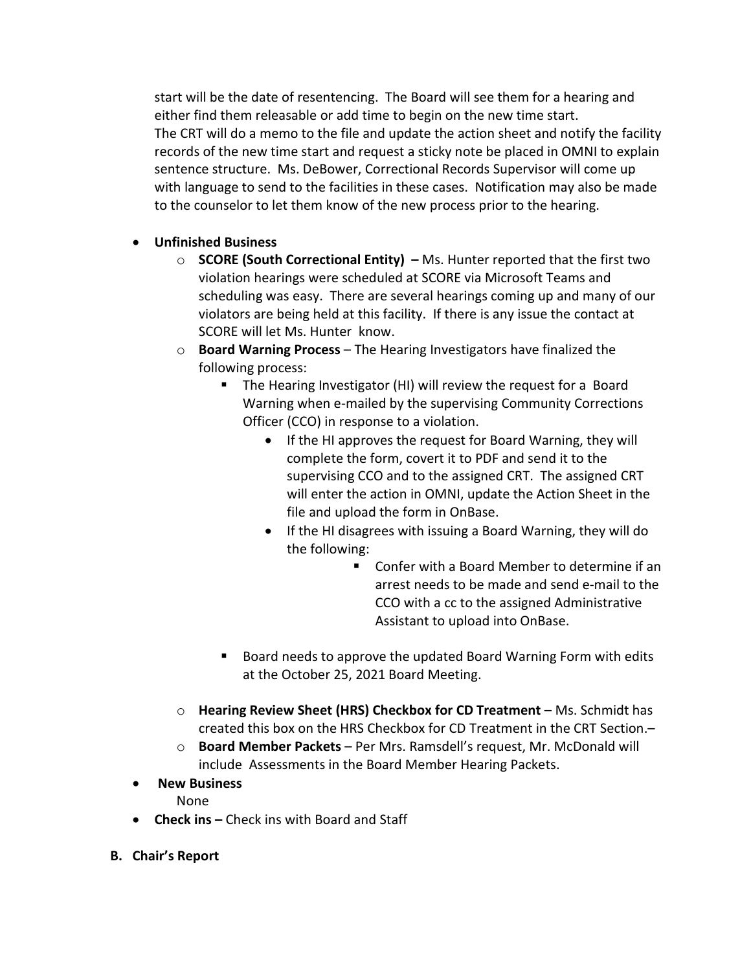start will be the date of resentencing. The Board will see them for a hearing and either find them releasable or add time to begin on the new time start. The CRT will do a memo to the file and update the action sheet and notify the facility records of the new time start and request a sticky note be placed in OMNI to explain sentence structure. Ms. DeBower, Correctional Records Supervisor will come up with language to send to the facilities in these cases. Notification may also be made to the counselor to let them know of the new process prior to the hearing.

# • **Unfinished Business**

- o **SCORE (South Correctional Entity)** Ms. Hunter reported that the first two violation hearings were scheduled at SCORE via Microsoft Teams and scheduling was easy. There are several hearings coming up and many of our violators are being held at this facility. If there is any issue the contact at SCORE will let Ms. Hunter know.
- o **Board Warning Process** The Hearing Investigators have finalized the following process:
	- **The Hearing Investigator (HI) will review the request for a Board** Warning when e-mailed by the supervising Community Corrections Officer (CCO) in response to a violation.
		- If the HI approves the request for Board Warning, they will complete the form, covert it to PDF and send it to the supervising CCO and to the assigned CRT. The assigned CRT will enter the action in OMNI, update the Action Sheet in the file and upload the form in OnBase.
		- If the HI disagrees with issuing a Board Warning, they will do the following:
			- Confer with a Board Member to determine if an arrest needs to be made and send e-mail to the CCO with a cc to the assigned Administrative Assistant to upload into OnBase.
	- Board needs to approve the updated Board Warning Form with edits at the October 25, 2021 Board Meeting.
- o **Hearing Review Sheet (HRS) Checkbox for CD Treatment** Ms. Schmidt has created this box on the HRS Checkbox for CD Treatment in the CRT Section.–
- o **Board Member Packets** Per Mrs. Ramsdell's request, Mr. McDonald will include Assessments in the Board Member Hearing Packets.
- **New Business** None
- **Check ins** Check ins with Board and Staff
- **B. Chair's Report**